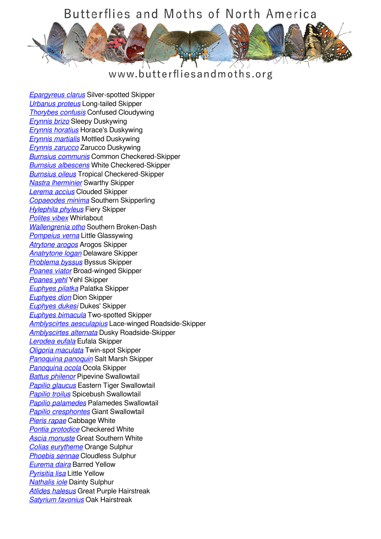## Butterflies and Moths of North America



## www.butterfliesandmoths.org

*[Epargyreus clarus](/species/Epargyreus-clarus)* Silver-spotted Skipper *[Urbanus proteus](/species/Urbanus-proteus)* Long-tailed Skipper *[Thorybes confusis](/species/Thorybes-confusis)* Confused Cloudywing *[Erynnis brizo](/species/Erynnis-brizo)* Sleepy Duskywing *[Erynnis horatius](/species/Erynnis-horatius)* Horace's Duskywing *[Erynnis martialis](/species/Erynnis-martialis)* Mottled Duskywing *[Erynnis zarucco](/species/Erynnis-zarucco)* Zarucco Duskywing *[Burnsius communis](/species/Pyrgus-communis)* Common Checkered-Skipper *[Burnsius albescens](/species/Pyrgus-albescens)* White Checkered-Skipper *[Burnsius oileus](/species/Pyrgus-oileus)* Tropical Checkered-Skipper *[Nastra lherminier](/species/Nastra-lherminier)* Swarthy Skipper *[Lerema accius](/species/Lerema-accius)* Clouded Skipper *[Copaeodes minima](/species/Copaeodes-minima)* Southern Skipperling *[Hylephila phyleus](/species/Hylephila-phyleus)* Fiery Skipper *[Polites vibex](/species/Polites-vibex)* Whirlabout *[Wallengrenia otho](/species/Wallengrenia-otho)* Southern Broken-Dash *[Pompeius verna](/species/Pompeius-verna)* Little Glassywing *[Atrytone arogos](/species/Atrytone-arogos)* Arogos Skipper *[Anatrytone logan](/species/Anatrytone-logan)* Delaware Skipper *[Problema byssus](/species/Problema-byssus)* Byssus Skipper *[Poanes viator](/species/Poanes-viator)* Broad-winged Skipper *[Poanes yehl](/species/Poanes-yehl)* Yehl Skipper *[Euphyes pilatka](/species/Euphyes-pilatka)* Palatka Skipper *[Euphyes dion](/species/Euphyes-dion)* Dion Skipper *[Euphyes dukesi](/species/Euphyes-dukesi)* Dukes' Skipper *[Euphyes bimacula](/species/Euphyes-bimacula)* Two-spotted Skipper *[Amblyscirtes aesculapius](/species/Amblyscirtes-aesculapius)* Lace-winged Roadside-Skipper *[Amblyscirtes alternata](/species/Amblyscirtes-alternata)* Dusky Roadside-Skipper *[Lerodea eufala](/species/Lerodea-eufala)* Eufala Skipper *[Oligoria maculata](/species/Oligoria-maculata)* Twin-spot Skipper *[Panoquina panoquin](/species/Panoquina-panoquin)* Salt Marsh Skipper *[Panoquina ocola](/species/Panoquina-ocola)* Ocola Skipper *[Battus philenor](/species/Battus-philenor)* Pipevine Swallowtail *[Papilio glaucus](/species/Papilio-glaucus)* Eastern Tiger Swallowtail *[Papilio troilus](/species/Papilio-troilus)* Spicebush Swallowtail *[Papilio palamedes](/species/Papilio-palamedes)* Palamedes Swallowtail *[Papilio cresphontes](/species/Papilio-cresphontes)* Giant Swallowtail *[Pieris rapae](/species/Pieris-rapae)* Cabbage White *[Pontia protodice](/species/Pontia-protodice)* Checkered White *[Ascia monuste](/species/Ascia-monuste)* Great Southern White *[Colias eurytheme](/species/Colias-eurytheme)* Orange Sulphur *[Phoebis sennae](/species/Phoebis-sennae)* Cloudless Sulphur *[Eurema daira](/species/Eurema-daira)* Barred Yellow *[Pyrisitia lisa](/species/Pyrisitia-lisa)* Little Yellow *[Nathalis iole](/species/Nathalis-iole)* Dainty Sulphur *[Atlides halesus](/species/Atlides-halesus)* Great Purple Hairstreak *[Satyrium favonius](/species/Satyrium-favonius)* Oak Hairstreak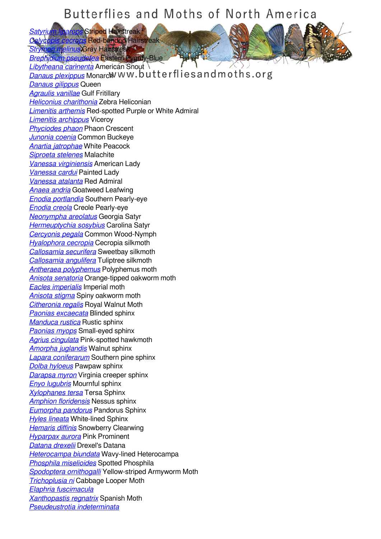## Butterflies and Moths of North America

**Striped Hairstreak Red-banded Hairstreak** 

*<u>Relinus</u></u> Gray Hairstreak [Brephidium pseudofea](/species/Brephidium-pseudofea)* Eastern Pygmy-Blue

*[Libytheana carinenta](/species/Libytheana-carinenta)* American Snout **[Danaus plexippus](/species/Danaus-plexippus)** Monarch WW.butterflies and moths.org *[Danaus gilippus](/species/Danaus-gilippus)* Queen *[Agraulis vanillae](/species/Agraulis-vanillae)* Gulf Fritillary *[Heliconius charithonia](/species/Heliconius-charithonia)* Zebra Heliconian *[Limenitis arthemis](/species/Limenitis-arthemis)* Red-spotted Purple or White Admiral *[Limenitis archippus](/species/Limenitis-archippus)* Viceroy *[Phyciodes phaon](/species/Phyciodes-phaon)* Phaon Crescent *[Junonia coenia](/species/Junonia-coenia)* Common Buckeye *[Anartia jatrophae](/species/Anartia-jatrophae)* White Peacock *[Siproeta stelenes](/species/Siproeta-stelenes)* Malachite *[Vanessa virginiensis](/species/Vanessa-virginiensis)* American Lady *[Vanessa cardui](/species/Vanessa-cardui)* Painted Lady *[Vanessa atalanta](/species/Vanessa-atalanta)* Red Admiral *[Anaea andria](/species/Anaea-andria)* Goatweed Leafwing *[Enodia portlandia](/species/Enodia-portlandia)* Southern Pearly-eye *[Enodia creola](/species/Enodia-creola)* Creole Pearly-eye *[Neonympha areolatus](/species/Neonympha-areolatus)* Georgia Satyr *[Hermeuptychia sosybius](/species/Hermeuptychia-sosybius)* Carolina Satyr *[Cercyonis pegala](/species/Cercyonis-pegala)* Common Wood-Nymph *[Hyalophora cecropia](/species/Hyalophora-cecropia)* Cecropia silkmoth *[Callosamia securifera](/species/Callosamia-securifera)* Sweetbay silkmoth *[Callosamia angulifera](/species/Callosamia-angulifera)* Tuliptree silkmoth *[Antheraea polyphemus](/species/Antheraea-polyphemus)* Polyphemus moth *[Anisota senatoria](/species/Anisota-senatoria)* Orange-tipped oakworm moth *[Eacles imperialis](/species/Eacles-imperialis)* Imperial moth *[Anisota stigma](/species/Anisota-stigma)* Spiny oakworm moth *[Citheronia regalis](/species/Citheronia-regalis)* Royal Walnut Moth *[Paonias excaecata](/species/Paonias-excaecata)* Blinded sphinx *[Manduca rustica](/species/Manduca-rustica)* Rustic sphinx *[Paonias myops](/species/Paonias-myops)* Small-eyed sphinx *[Agrius cingulata](/species/Agrius-cingulata)* Pink-spotted hawkmoth *[Amorpha juglandis](/species/Amorpha-juglandis)* Walnut sphinx *[Lapara coniferarum](/species/Lapara-coniferarum)* Southern pine sphinx *[Dolba hyloeus](/species/Dolba-hyloeus)* Pawpaw sphinx *[Darapsa myron](/species/Darapsa-myron)* Virginia creeper sphinx *[Enyo lugubris](/species/Enyo-lugubris)* Mournful sphinx *[Xylophanes tersa](/species/Xylophanes-tersa)* Tersa Sphinx *[Amphion floridensis](/species/Amphion-floridensis)* Nessus sphinx *[Eumorpha pandorus](/species/Eumorpha-pandorus)* Pandorus Sphinx *[Hyles lineata](/species/Hyles-lineata)* White-lined Sphinx *[Hemaris diffinis](/species/Hemaris-diffinis)* Snowberry Clearwing *[Hyparpax aurora](/species/Hyparpax-aurora)* Pink Prominent *[Datana drexelii](/species/Datana-drexelii)* Drexel's Datana *[Heterocampa biundata](/species/Heterocampa-biundata)* Wavy-lined Heterocampa *[Phosphila miselioides](/species/Phosphila-miselioides)* Spotted Phosphila *[Spodoptera ornithogalli](/species/Spodoptera-ornithogalli)* Yellow-striped Armyworm Moth *[Trichoplusia ni](/species/Trichoplusia-ni)* Cabbage Looper Moth *[Elaphria fuscimacula](/species/Elaphria-fuscimacula) [Xanthopastis regnatrix](/species/Xanthopastis-regnatrix)* Spanish Moth *[Pseudeustrotia indeterminata](/species/Pseudeustrotia-indeterminata)*